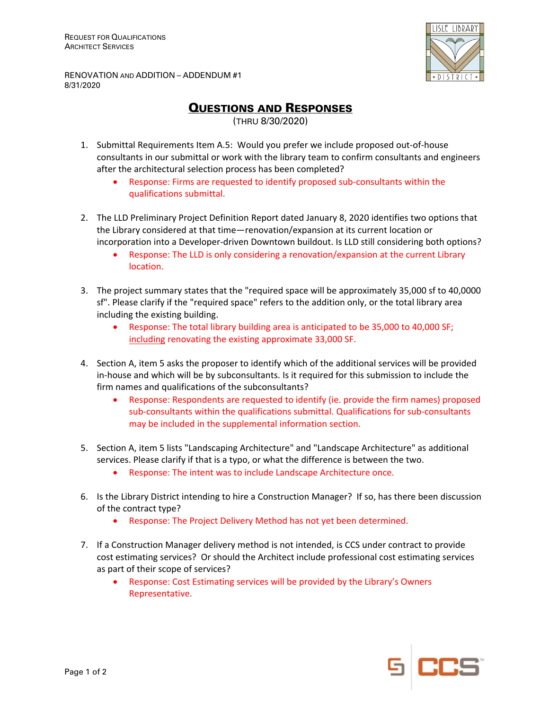

RENOVATION AND ADDITION – ADDENDUM #1 8/31/2020

QUESTIONS AND RESPONSES

(THRU 8/30/2020)

- 1. Submittal Requirements Item A.5: Would you prefer we include proposed out‐of‐house consultants in our submittal or work with the library team to confirm consultants and engineers after the architectural selection process has been completed?
	- Response: Firms are requested to identify proposed sub‐consultants within the qualifications submittal.
- 2. The LLD Preliminary Project Definition Report dated January 8, 2020 identifies two options that the Library considered at that time—renovation/expansion at its current location or incorporation into a Developer‐driven Downtown buildout. Is LLD still considering both options?
	- Response: The LLD is only considering a renovation/expansion at the current Library location.
- 3. The project summary states that the "required space will be approximately 35,000 sf to 40,0000 sf". Please clarify if the "required space" refers to the addition only, or the total library area including the existing building.
	- Response: The total library building area is anticipated to be 35,000 to 40,000 SF; including renovating the existing approximate 33,000 SF.
- 4. Section A, item 5 asks the proposer to identify which of the additional services will be provided in-house and which will be by subconsultants. Is it required for this submission to include the firm names and qualifications of the subconsultants?
	- Response: Respondents are requested to identify (ie. provide the firm names) proposed sub‐consultants within the qualifications submittal. Qualifications for sub‐consultants may be included in the supplemental information section.
- 5. Section A, item 5 lists "Landscaping Architecture" and "Landscape Architecture" as additional services. Please clarify if that is a typo, or what the difference is between the two.
	- Response: The intent was to include Landscape Architecture once.
- 6. Is the Library District intending to hire a Construction Manager? If so, has there been discussion of the contract type?
	- Response: The Project Delivery Method has not yet been determined.
- 7. If a Construction Manager delivery method is not intended, is CCS under contract to provide cost estimating services? Or should the Architect include professional cost estimating services as part of their scope of services?
	- Response: Cost Estimating services will be provided by the Library's Owners Representative.